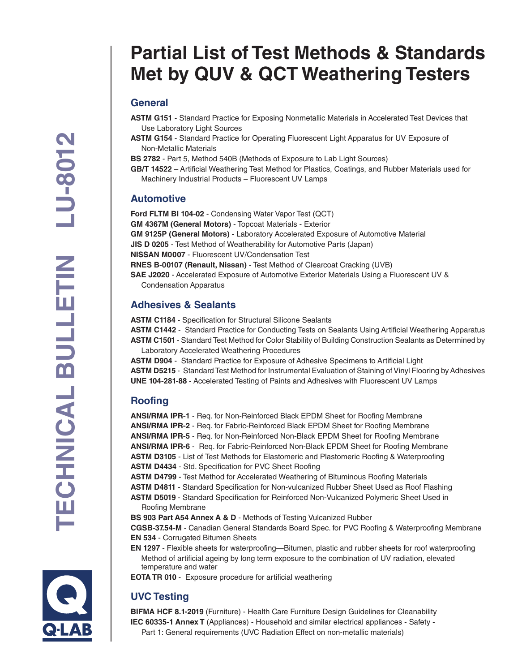# **Partial List of Test Methods & Standards Met by QUV & QCT Weathering Testers**

### **General**

- **ASTM G151** Standard Practice for Exposing Nonmetallic Materials in Accelerated Test Devices that Use Laboratory Light Sources
- **ASTM G154** Standard Practice for Operating Fluorescent Light Apparatus for UV Exposure of Non-Metallic Materials
- **BS 2782** Part 5, Method 540B (Methods of Exposure to Lab Light Sources)
- **GB/T 14522** Artificial Weathering Test Method for Plastics, Coatings, and Rubber Materials used for Machinery Industrial Products – Fluorescent UV Lamps

#### **Automotive**

**Ford FLTM BI 104-02** - Condensing Water Vapor Test (QCT) **GM 4367M (General Motors)** - Topcoat Materials - Exterior **GM 9125P (General Motors)** - Laboratory Accelerated Exposure of Automotive Material **JIS D 0205** - Test Method of Weatherability for Automotive Parts (Japan) **NISSAN M0007** - Fluorescent UV/Condensation Test **RNES B-00107 (Renault, Nissan)** - Test Method of Clearcoat Cracking (UVB) **SAE J2020** - Accelerated Exposure of Automotive Exterior Materials Using a Fluorescent UV & Condensation Apparatus

#### **Adhesives & Sealants**

**ASTM C1184** - Specification for Structural Silicone Sealants

**ASTM C1442** - Standard Practice for Conducting Tests on Sealants Using Artificial Weathering Apparatus **ASTM C1501** - Standard Test Method for Color Stability of Building Construction Sealants as Determined by Laboratory Accelerated Weathering Procedures

**ASTM D904** - Standard Practice for Exposure of Adhesive Specimens to Artificial Light **ASTM D5215** - Standard Test Method for Instrumental Evaluation of Staining of Vinyl Flooring by Adhesives **UNE 104-281-88** - Accelerated Testing of Paints and Adhesives with Fluorescent UV Lamps

### **Roofing**

**ANSI/RMA IPR-1** - Req. for Non-Reinforced Black EPDM Sheet for Roofing Membrane **ANSI/RMA IPR-2** - Req. for Fabric-Reinforced Black EPDM Sheet for Roofing Membrane **ANSI/RMA IPR-5** - Req. for Non-Reinforced Non-Black EPDM Sheet for Roofing Membrane **ANSI/RMA IPR-6** - Req. for Fabric-Reinforced Non-Black EPDM Sheet for Roofing Membrane **ASTM D3105** - List of Test Methods for Elastomeric and Plastomeric Roofing & Waterproofing **ASTM D4434** - Std. Specification for PVC Sheet Roofing **ASTM D4799** - Test Method for Accelerated Weathering of Bituminous Roofing Materials **ASTM D4811** - Standard Specification for Non-vulcanized Rubber Sheet Used as Roof Flashing **ASTM D5019** - Standard Specification for Reinforced Non-Vulcanized Polymeric Sheet Used in Roofing Membrane **BS 903 Part A54 Annex A & D** - Methods of Testing Vulcanized Rubber

**CGSB-37.54-M** - Canadian General Standards Board Spec. for PVC Roofing & Waterproofing Membrane **EN 534** - Corrugated Bitumen Sheets

**EN 1297** - Flexible sheets for waterproofing—Bitumen, plastic and rubber sheets for roof waterproofing Method of artificial ageing by long term exposure to the combination of UV radiation, elevated temperature and water

**EOTA TR 010** - Exposure procedure for artificial weathering

## **UVC Testing**

**BIFMA HCF 8.1-2019** (Furniture) - Health Care Furniture Design Guidelines for Cleanability **IEC 60335-1 Annex T** (Appliances) - Household and similar electrical appliances - Safety - Part 1: General requirements (UVC Radiation Effect on non-metallic materials)